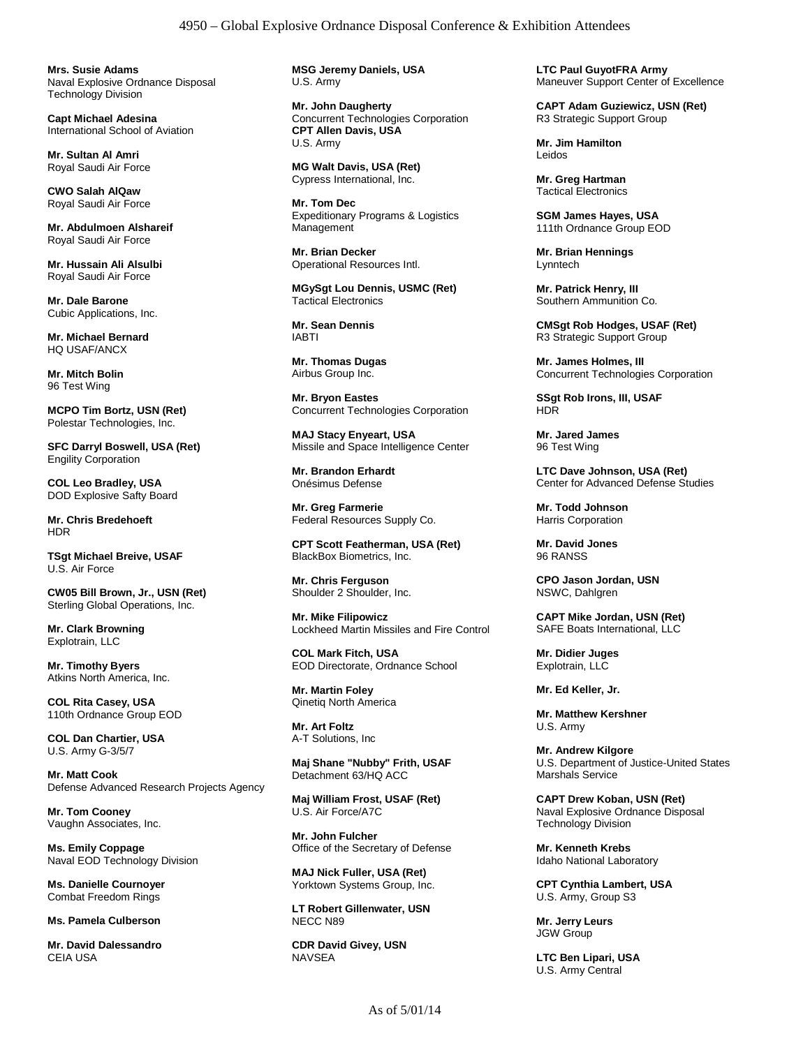**Mrs. Susie Adams** Naval Explosive Ordnance Disposal Technology Division

**Capt Michael Adesina** International School of Aviation

**Mr. Sultan Al Amri** Royal Saudi Air Force

**CWO Salah AlQaw** Royal Saudi Air Force

**Mr. Abdulmoen Alshareif** Royal Saudi Air Force

**Mr. Hussain Ali Alsulbi** Royal Saudi Air Force

**Mr. Dale Barone** Cubic Applications, Inc.

**Mr. Michael Bernard** HQ USAF/ANCX

**Mr. Mitch Bolin** 96 Test Wing

**MCPO Tim Bortz, USN (Ret)** Polestar Technologies, Inc.

**SFC Darryl Boswell, USA (Ret)** Engility Corporation

**COL Leo Bradley, USA** DOD Explosive Safty Board

**Mr. Chris Bredehoeft** HDR

**TSgt Michael Breive, USAF** U.S. Air Force

**CW05 Bill Brown, Jr., USN (Ret)** Sterling Global Operations, Inc.

**Mr. Clark Browning** Explotrain, LLC

**Mr. Timothy Byers** Atkins North America, Inc.

**COL Rita Casey, USA** 110th Ordnance Group EOD

**COL Dan Chartier, USA** U.S. Army G-3/5/7

**Mr. Matt Cook** Defense Advanced Research Projects Agency

**Mr. Tom Cooney** Vaughn Associates, Inc.

**Ms. Emily Coppage** Naval EOD Technology Division

**Ms. Danielle Cournoyer** Combat Freedom Rings

**Ms. Pamela Culberson**

**Mr. David Dalessandro** CEIA USA

**MSG Jeremy Daniels, USA** U.S. Army

**Mr. John Daugherty** Concurrent Technologies Corporation **CPT Allen Davis, USA** U.S. Army

**MG Walt Davis, USA (Ret)** Cypress International, Inc.

**Mr. Tom Dec** Expeditionary Programs & Logistics Management

**Mr. Brian Decker** Operational Resources Intl.

**MGySgt Lou Dennis, USMC (Ret)** Tactical Electronics

**Mr. Sean Dennis** IABTI

**Mr. Thomas Dugas** Airbus Group Inc.

**Mr. Bryon Eastes** Concurrent Technologies Corporation

**MAJ Stacy Enyeart, USA** Missile and Space Intelligence Center

**Mr. Brandon Erhardt** Onésimus Defense

**Mr. Greg Farmerie** Federal Resources Supply Co.

**CPT Scott Featherman, USA (Ret)** BlackBox Biometrics, Inc.

**Mr. Chris Ferguson** Shoulder 2 Shoulder, Inc.

**Mr. Mike Filipowicz** Lockheed Martin Missiles and Fire Control

**COL Mark Fitch, USA** EOD Directorate, Ordnance School

**Mr. Martin Foley** Qinetiq North America

**Mr. Art Foltz** A-T Solutions, Inc

**Maj Shane "Nubby" Frith, USAF** Detachment 63/HQ ACC

**Maj William Frost, USAF (Ret)** U.S. Air Force/A7C

**Mr. John Fulcher** Office of the Secretary of Defense

**MAJ Nick Fuller, USA (Ret)** Yorktown Systems Group, Inc.

**LT Robert Gillenwater, USN** NECC N89

**CDR David Givey, USN NAVSEA** 

**LTC Paul GuyotFRA Army** Maneuver Support Center of Excellence

**CAPT Adam Guziewicz, USN (Ret)** R3 Strategic Support Group

**Mr. Jim Hamilton** Leidos

**Mr. Greg Hartman** Tactical Electronics

**SGM James Hayes, USA** 111th Ordnance Group EOD

**Mr. Brian Hennings** Lynntech

**Mr. Patrick Henry, III** Southern Ammunition Co.

**CMSgt Rob Hodges, USAF (Ret)** R3 Strategic Support Group

**Mr. James Holmes, III** Concurrent Technologies Corporation

**SSgt Rob Irons, III, USAF** HDR

**Mr. Jared James** 96 Test Wing

**LTC Dave Johnson, USA (Ret)** Center for Advanced Defense Studies

**Mr. Todd Johnson** Harris Corporation

**Mr. David Jones** 96 RANSS

**CPO Jason Jordan, USN** NSWC, Dahlgren

**CAPT Mike Jordan, USN (Ret)** SAFE Boats International, LLC

**Mr. Didier Juges** Explotrain, LLC

**Mr. Ed Keller, Jr.**

**Mr. Matthew Kershner** U.S. Army

**Mr. Andrew Kilgore** U.S. Department of Justice-United States Marshals Service

**CAPT Drew Koban, USN (Ret)** Naval Explosive Ordnance Disposal Technology Division

**Mr. Kenneth Krebs** Idaho National Laboratory

**CPT Cynthia Lambert, USA** U.S. Army, Group S3

**Mr. Jerry Leurs** JGW Group

**LTC Ben Lipari, USA** U.S. Army Central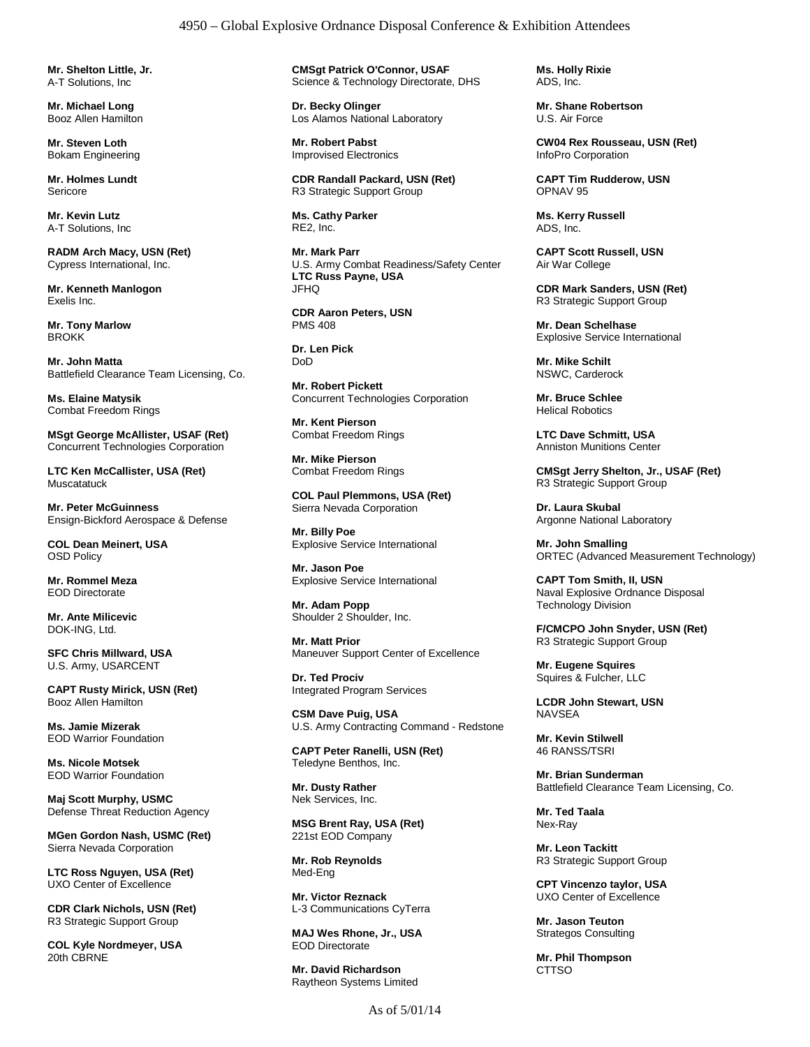**Mr. Shelton Little, Jr.** A-T Solutions, Inc

**Mr. Michael Long** Booz Allen Hamilton

**Mr. Steven Loth** Bokam Engineering

**Mr. Holmes Lundt** Sericore

**Mr. Kevin Lutz** A-T Solutions, Inc

**RADM Arch Macy, USN (Ret)** Cypress International, Inc.

**Mr. Kenneth Manlogon** Exelis Inc.

**Mr. Tony Marlow** BROKK

**Mr. John Matta** Battlefield Clearance Team Licensing, Co.

**Ms. Elaine Matysik** Combat Freedom Rings

**MSgt George McAllister, USAF (Ret)** Concurrent Technologies Corporation

**LTC Ken McCallister, USA (Ret) Muscatatuck** 

**Mr. Peter McGuinness** Ensign-Bickford Aerospace & Defense

**COL Dean Meinert, USA** OSD Policy

**Mr. Rommel Meza** EOD Directorate

**Mr. Ante Milicevic** DOK-ING, Ltd.

**SFC Chris Millward, USA** U.S. Army, USARCENT

**CAPT Rusty Mirick, USN (Ret)** Booz Allen Hamilton

**Ms. Jamie Mizerak** EOD Warrior Foundation

**Ms. Nicole Motsek** EOD Warrior Foundation

**Maj Scott Murphy, USMC** Defense Threat Reduction Agency

**MGen Gordon Nash, USMC (Ret)** Sierra Nevada Corporation

**LTC Ross Nguyen, USA (Ret)** UXO Center of Excellence

**CDR Clark Nichols, USN (Ret)** R3 Strategic Support Group

**COL Kyle Nordmeyer, USA** 20th CBRNE

**CMSgt Patrick O'Connor, USAF** Science & Technology Directorate, DHS

**Dr. Becky Olinger** Los Alamos National Laboratory

**Mr. Robert Pabst** Improvised Electronics

**CDR Randall Packard, USN (Ret)** R3 Strategic Support Group

**Ms. Cathy Parker** RE2, Inc.

**Mr. Mark Parr** U.S. Army Combat Readiness/Safety Center **LTC Russ Payne, USA** JFHQ

**CDR Aaron Peters, USN** PMS 408

**Dr. Len Pick** DoD

**Mr. Robert Pickett** Concurrent Technologies Corporation

**Mr. Kent Pierson** Combat Freedom Rings

**Mr. Mike Pierson** Combat Freedom Rings

**COL Paul Plemmons, USA (Ret)** Sierra Nevada Corporation

**Mr. Billy Poe** Explosive Service International

**Mr. Jason Poe** Explosive Service International

**Mr. Adam Popp** Shoulder 2 Shoulder, Inc.

**Mr. Matt Prior** Maneuver Support Center of Excellence

**Dr. Ted Prociv** Integrated Program Services

**CSM Dave Puig, USA** U.S. Army Contracting Command - Redstone

**CAPT Peter Ranelli, USN (Ret)** Teledyne Benthos, Inc.

**Mr. Dusty Rather** Nek Services, Inc.

**MSG Brent Ray, USA (Ret)** 221st EOD Company

**Mr. Rob Reynolds** Med-Eng

**Mr. Victor Reznack** L-3 Communications CyTerra

**MAJ Wes Rhone, Jr., USA** EOD Directorate

**Mr. David Richardson** Raytheon Systems Limited **Ms. Holly Rixie** ADS, Inc.

**Mr. Shane Robertson** U.S. Air Force

**CW04 Rex Rousseau, USN (Ret)** InfoPro Corporation

**CAPT Tim Rudderow, USN** OPNAV 95

**Ms. Kerry Russell** ADS, Inc.

**CAPT Scott Russell, USN** Air War College

**CDR Mark Sanders, USN (Ret)** R3 Strategic Support Group

**Mr. Dean Schelhase** Explosive Service International

**Mr. Mike Schilt** NSWC, Carderock

**Mr. Bruce Schlee** Helical Robotics

**LTC Dave Schmitt, USA** Anniston Munitions Center

**CMSgt Jerry Shelton, Jr., USAF (Ret)** R3 Strategic Support Group

**Dr. Laura Skubal** Argonne National Laboratory

**Mr. John Smalling** ORTEC (Advanced Measurement Technology)

**CAPT Tom Smith, II, USN** Naval Explosive Ordnance Disposal Technology Division

**F/CMCPO John Snyder, USN (Ret)** R3 Strategic Support Group

**Mr. Eugene Squires** Squires & Fulcher, LLC

**LCDR John Stewart, USN NAVSEA** 

**Mr. Kevin Stilwell** 46 RANSS/TSRI

**Mr. Brian Sunderman** Battlefield Clearance Team Licensing, Co.

**Mr. Ted Taala** Nex-Ray

**Mr. Leon Tackitt** R3 Strategic Support Group

**CPT Vincenzo taylor, USA** UXO Center of Excellence

**Mr. Jason Teuton** Strategos Consulting

**Mr. Phil Thompson CTTSO**